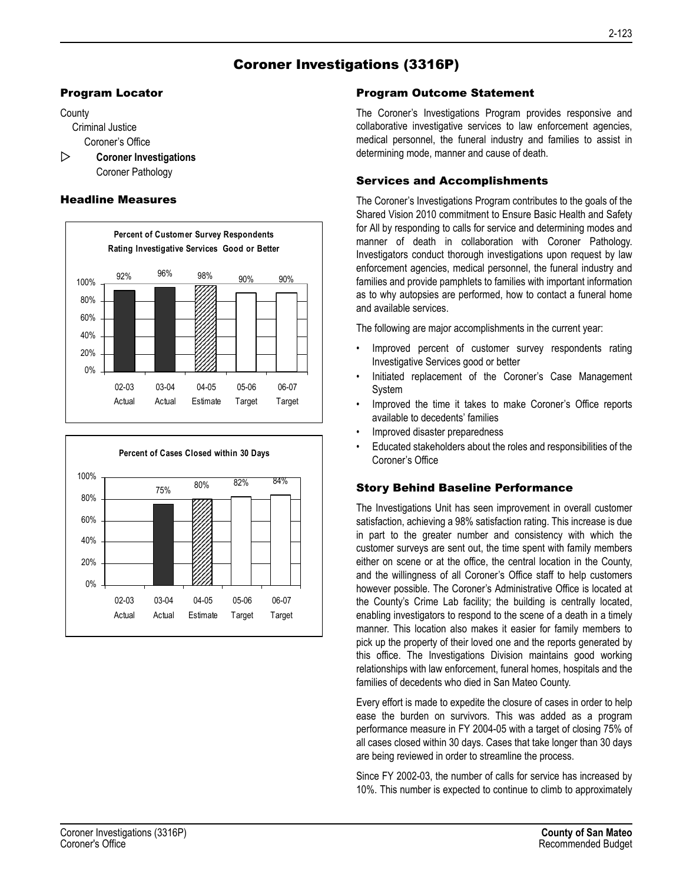# Coroner Investigations (3316P)

## Program Locator

**County** Criminal Justice Coroner's Office  $\triangleright$  Coroner Investigations

Coroner Pathology

#### Headline Measures





#### Program Outcome Statement

The Coroner's Investigations Program provides responsive and collaborative investigative services to law enforcement agencies, medical personnel, the funeral industry and families to assist in determining mode, manner and cause of death.

### Services and Accomplishments

The Coroner's Investigations Program contributes to the goals of the Shared Vision 2010 commitment to Ensure Basic Health and Safety for All by responding to calls for service and determining modes and manner of death in collaboration with Coroner Pathology. Investigators conduct thorough investigations upon request by law enforcement agencies, medical personnel, the funeral industry and families and provide pamphlets to families with important information as to why autopsies are performed, how to contact a funeral home and available services.

The following are major accomplishments in the current year:

- Improved percent of customer survey respondents rating Investigative Services good or better
- Initiated replacement of the Coroner's Case Management System
- Improved the time it takes to make Coroner's Office reports available to decedents' families
- Improved disaster preparedness
- Educated stakeholders about the roles and responsibilities of the Coroner's Office

### Story Behind Baseline Performance

The Investigations Unit has seen improvement in overall customer satisfaction, achieving a 98% satisfaction rating. This increase is due in part to the greater number and consistency with which the customer surveys are sent out, the time spent with family members either on scene or at the office, the central location in the County, and the willingness of all Coroner's Office staff to help customers however possible. The Coroner's Administrative Office is located at the County's Crime Lab facility; the building is centrally located, enabling investigators to respond to the scene of a death in a timely manner. This location also makes it easier for family members to pick up the property of their loved one and the reports generated by this office. The Investigations Division maintains good working relationships with law enforcement, funeral homes, hospitals and the families of decedents who died in San Mateo County.

Every effort is made to expedite the closure of cases in order to help ease the burden on survivors. This was added as a program performance measure in FY 2004-05 with a target of closing 75% of all cases closed within 30 days. Cases that take longer than 30 days are being reviewed in order to streamline the process.

Since FY 2002-03, the number of calls for service has increased by 10%. This number is expected to continue to climb to approximately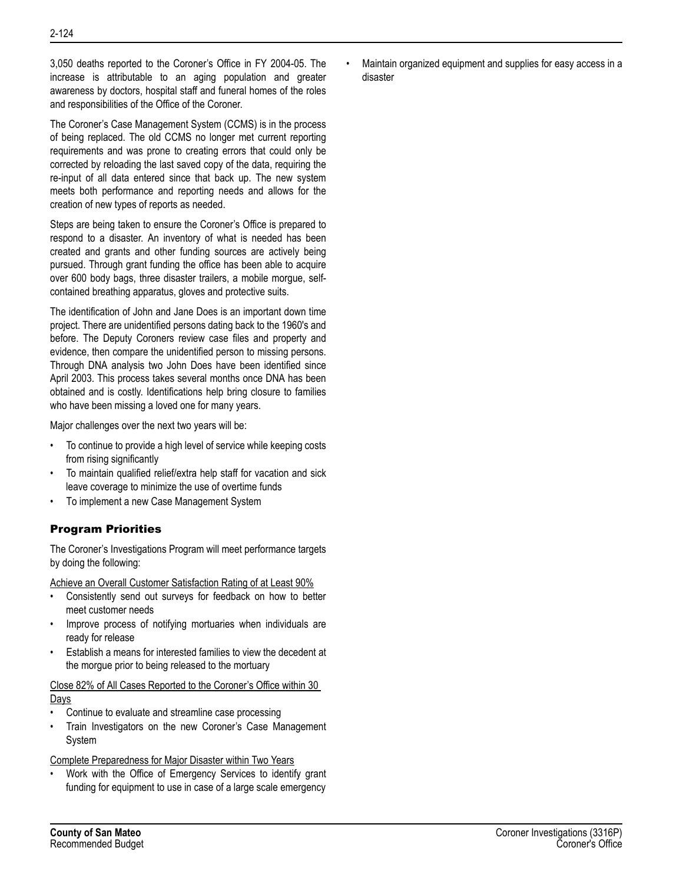3,050 deaths reported to the Coroner's Office in FY 2004-05. The increase is attributable to an aging population and greater awareness by doctors, hospital staff and funeral homes of the roles and responsibilities of the Office of the Coroner.

The Coroner's Case Management System (CCMS) is in the process of being replaced. The old CCMS no longer met current reporting requirements and was prone to creating errors that could only be corrected by reloading the last saved copy of the data, requiring the re-input of all data entered since that back up. The new system meets both performance and reporting needs and allows for the creation of new types of reports as needed.

Steps are being taken to ensure the Coroner's Office is prepared to respond to a disaster. An inventory of what is needed has been created and grants and other funding sources are actively being pursued. Through grant funding the office has been able to acquire over 600 body bags, three disaster trailers, a mobile morgue, selfcontained breathing apparatus, gloves and protective suits.

The identification of John and Jane Does is an important down time project. There are unidentified persons dating back to the 1960's and before. The Deputy Coroners review case files and property and evidence, then compare the unidentified person to missing persons. Through DNA analysis two John Does have been identified since April 2003. This process takes several months once DNA has been obtained and is costly. Identifications help bring closure to families who have been missing a loved one for many years.

Major challenges over the next two years will be:

- To continue to provide a high level of service while keeping costs from rising significantly
- To maintain qualified relief/extra help staff for vacation and sick leave coverage to minimize the use of overtime funds
- To implement a new Case Management System

## Program Priorities

The Coroner's Investigations Program will meet performance targets by doing the following:

Achieve an Overall Customer Satisfaction Rating of at Least 90%

- Consistently send out surveys for feedback on how to better meet customer needs
- Improve process of notifying mortuaries when individuals are ready for release
- Establish a means for interested families to view the decedent at the morgue prior to being released to the mortuary

## Close 82% of All Cases Reported to the Coroner's Office within 30 **Days**

- Continue to evaluate and streamline case processing
- Train Investigators on the new Coroner's Case Management **System**

### Complete Preparedness for Major Disaster within Two Years

• Work with the Office of Emergency Services to identify grant funding for equipment to use in case of a large scale emergency

• Maintain organized equipment and supplies for easy access in a disaster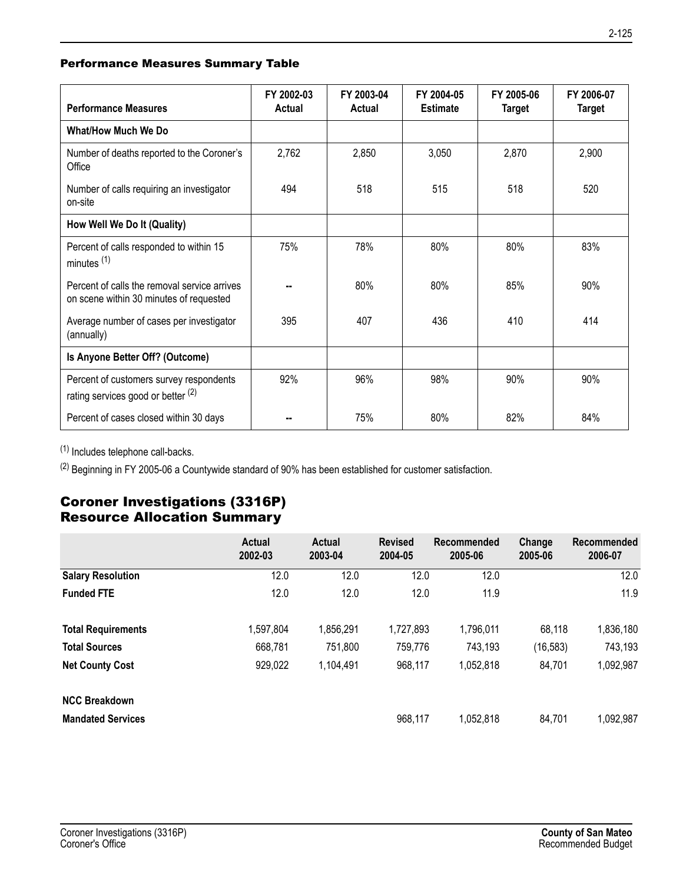## Performance Measures Summary Table

| <b>Performance Measures</b>                                                             | FY 2002-03<br>Actual | FY 2003-04<br>Actual | FY 2004-05<br><b>Estimate</b> | FY 2005-06<br><b>Target</b> | FY 2006-07<br><b>Target</b> |
|-----------------------------------------------------------------------------------------|----------------------|----------------------|-------------------------------|-----------------------------|-----------------------------|
| <b>What/How Much We Do</b>                                                              |                      |                      |                               |                             |                             |
| Number of deaths reported to the Coroner's<br>Office                                    | 2,762                | 2,850                | 3,050                         | 2,870                       | 2,900                       |
| Number of calls requiring an investigator<br>on-site                                    | 494                  | 518                  | 515                           | 518                         | 520                         |
| How Well We Do It (Quality)                                                             |                      |                      |                               |                             |                             |
| Percent of calls responded to within 15<br>minutes $(1)$                                | 75%                  | 78%                  | 80%                           | 80%                         | 83%                         |
| Percent of calls the removal service arrives<br>on scene within 30 minutes of requested |                      | 80%                  | 80%                           | 85%                         | 90%                         |
| Average number of cases per investigator<br>(annually)                                  | 395                  | 407                  | 436                           | 410                         | 414                         |
| Is Anyone Better Off? (Outcome)                                                         |                      |                      |                               |                             |                             |
| Percent of customers survey respondents<br>rating services good or better (2)           | 92%                  | 96%                  | 98%                           | 90%                         | 90%                         |
| Percent of cases closed within 30 days                                                  |                      | 75%                  | 80%                           | 82%                         | 84%                         |

(1) Includes telephone call-backs.

 $(2)$  Beginning in FY 2005-06 a Countywide standard of 90% has been established for customer satisfaction.

## Coroner Investigations (3316P) Resource Allocation Summary

|                           | Actual<br>2002-03 | Actual<br>2003-04 | <b>Revised</b><br>2004-05 | Recommended<br>2005-06 | Change<br>2005-06 | Recommended<br>2006-07 |
|---------------------------|-------------------|-------------------|---------------------------|------------------------|-------------------|------------------------|
| <b>Salary Resolution</b>  | 12.0              | 12.0              | 12.0                      | 12.0                   |                   | 12.0                   |
| <b>Funded FTE</b>         | 12.0              | 12.0              | 12.0                      | 11.9                   |                   | 11.9                   |
| <b>Total Requirements</b> | 1,597,804         | 1,856,291         | 1,727,893                 | 1,796,011              | 68,118            | 1,836,180              |
| <b>Total Sources</b>      | 668,781           | 751,800           | 759,776                   | 743,193                | (16, 583)         | 743,193                |
| <b>Net County Cost</b>    | 929,022           | 1,104,491         | 968,117                   | 1,052,818              | 84,701            | 1,092,987              |
| <b>NCC Breakdown</b>      |                   |                   |                           |                        |                   |                        |
| <b>Mandated Services</b>  |                   |                   | 968,117                   | 1,052,818              | 84,701            | 1,092,987              |